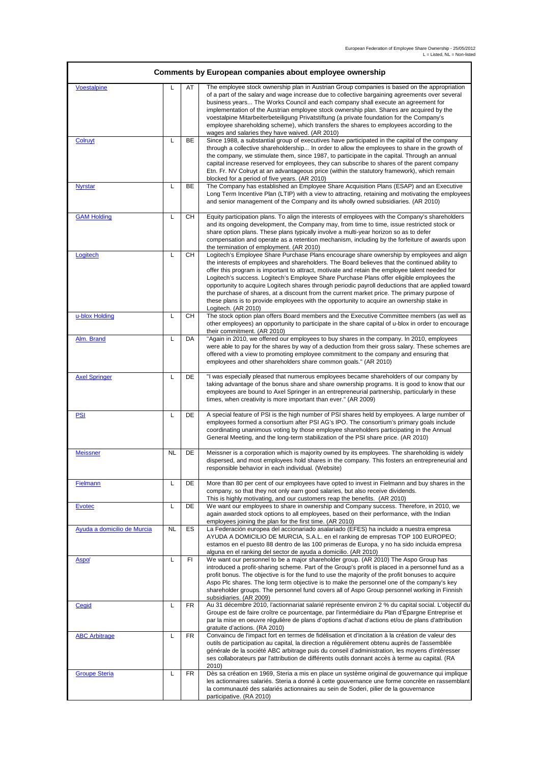| Comments by European companies about employee ownership |           |           |                                                                                                                                                                                                                                                                                                                                                                                                                                                                                                                                                                                                                                                                                                                    |  |
|---------------------------------------------------------|-----------|-----------|--------------------------------------------------------------------------------------------------------------------------------------------------------------------------------------------------------------------------------------------------------------------------------------------------------------------------------------------------------------------------------------------------------------------------------------------------------------------------------------------------------------------------------------------------------------------------------------------------------------------------------------------------------------------------------------------------------------------|--|
| <b>Voestalpine</b>                                      | L         | AT        | The employee stock ownership plan in Austrian Group companies is based on the appropriation<br>of a part of the salary and wage increase due to collective bargaining agreements over several<br>business years The Works Council and each company shall execute an agreement for<br>implementation of the Austrian employee stock ownership plan. Shares are acquired by the<br>voestalpine Mitarbeiterbeteiligung Privatstiftung (a private foundation for the Company's<br>employee shareholding scheme), which transfers the shares to employees according to the<br>wages and salaries they have waived. (AR 2010)                                                                                            |  |
| Colruyt                                                 | L         | BE        | Since 1988, a substantial group of executives have participated in the capital of the company<br>through a collective shareholdership In order to allow the employees to share in the growth of<br>the company, we stimulate them, since 1987, to participate in the capital. Through an annual<br>capital increase reserved for employees, they can subscribe to shares of the parent company<br>Etn. Fr. NV Colruyt at an advantageous price (within the statutory framework), which remain<br>blocked for a period of five years. (AR 2010)                                                                                                                                                                     |  |
| <b>Nyrstar</b>                                          | L         | BE        | The Company has established an Employee Share Acquisition Plans (ESAP) and an Executive<br>Long Term Incentive Plan (LTIP) with a view to attracting, retaining and motivating the employees<br>and senior management of the Company and its wholly owned subsidiaries. (AR 2010)                                                                                                                                                                                                                                                                                                                                                                                                                                  |  |
| <b>GAM Holding</b>                                      | L         | <b>CH</b> | Equity participation plans. To align the interests of employees with the Company's shareholders<br>and its ongoing development, the Company may, from time to time, issue restricted stock or<br>share option plans. These plans typically involve a multi-year horizon so as to defer<br>compensation and operate as a retention mechanism, including by the forfeiture of awards upon<br>the termination of employment. (AR 2010)                                                                                                                                                                                                                                                                                |  |
| Logitech                                                | L         | <b>CH</b> | Logitech's Employee Share Purchase Plans encourage share ownership by employees and align<br>the interests of employees and shareholders. The Board believes that the continued ability to<br>offer this program is important to attract, motivate and retain the employee talent needed for<br>Logitech's success. Logitech's Employee Share Purchase Plans offer eligible employees the<br>opportunity to acquire Logitech shares through periodic payroll deductions that are applied toward<br>the purchase of shares, at a discount from the current market price. The primary purpose of<br>these plans is to provide employees with the opportunity to acquire an ownership stake in<br>Logitech. (AR 2010) |  |
| u-blox Holding                                          | L         | CН        | The stock option plan offers Board members and the Executive Committee members (as well as<br>other employees) an opportunity to participate in the share capital of u-blox in order to encourage<br>their commitment. (AR 2010)                                                                                                                                                                                                                                                                                                                                                                                                                                                                                   |  |
| Alm. Brand                                              | L         | DA        | "Again in 2010, we offered our employees to buy shares in the company. In 2010, employees<br>were able to pay for the shares by way of a deduction from their gross salary. These schemes are<br>offered with a view to promoting employee commitment to the company and ensuring that<br>employees and other shareholders share common goals." (AR 2010)                                                                                                                                                                                                                                                                                                                                                          |  |
| <b>Axel Springer</b>                                    | L         | DE        | "I was especially pleased that numerous employees became shareholders of our company by<br>taking advantage of the bonus share and share ownership programs. It is good to know that our<br>employees are bound to Axel Springer in an entrepreneurial partnership, particularly in these<br>times, when creativity is more important than ever." (AR 2009)                                                                                                                                                                                                                                                                                                                                                        |  |
| <u>PSI</u>                                              | L         | DE        | A special feature of PSI is the high number of PSI shares held by employees. A large number of<br>employees formed a consortium after PSI AG's IPO. The consortium's primary goals include<br>coordinating unanimous voting by those employee shareholders participating in the Annual<br>General Meeting, and the long-term stabilization of the PSI share price. (AR 2010)                                                                                                                                                                                                                                                                                                                                       |  |
| <b>Meissner</b>                                         | <b>NL</b> | DE        | Meissner is a corporation which is majority owned by its employees. The shareholding is widely<br>dispersed, and most employees hold shares in the company. This fosters an entrepreneurial and<br>responsible behavior in each individual. (Website)                                                                                                                                                                                                                                                                                                                                                                                                                                                              |  |
| Fielmann                                                | L         | DE        | More than 80 per cent of our employees have opted to invest in Fielmann and buy shares in the<br>company, so that they not only earn good salaries, but also receive dividends.<br>This is highly motivating, and our customers reap the benefits. (AR 2010)                                                                                                                                                                                                                                                                                                                                                                                                                                                       |  |
| <b>Evotec</b>                                           | L         | DE        | We want our employees to share in ownership and Company success. Therefore, in 2010, we<br>again awarded stock options to all employees, based on their performance, with the Indian<br>employees joining the plan for the first time. (AR 2010)                                                                                                                                                                                                                                                                                                                                                                                                                                                                   |  |
| Ayuda a domicilio de Murcia                             | <b>NL</b> | ES        | La Federación europea del accionariado asalariado (EFES) ha incluido a nuestra empresa<br>AYUDA A DOMICILIO DE MURCIA, S.A.L. en el ranking de empresas TOP 100 EUROPEO;<br>estamos en el puesto 88 dentro de las 100 primeras de Europa, y no ha sido incluida empresa<br>alguna en el ranking del sector de ayuda a domicilio. (AR 2010)                                                                                                                                                                                                                                                                                                                                                                         |  |
| Aspo <sup>*</sup>                                       | L         | FI        | We want our personnel to be a major shareholder group. (AR 2010) The Aspo Group has<br>introduced a profit-sharing scheme. Part of the Group's profit is placed in a personnel fund as a<br>profit bonus. The objective is for the fund to use the majority of the profit bonuses to acquire<br>Aspo Plc shares. The long term objective is to make the personnel one of the company's key<br>shareholder groups. The personnel fund covers all of Aspo Group personnel working in Finnish<br>subsidiaries. (AR 2009)                                                                                                                                                                                              |  |
| <b>Cegid</b>                                            | L         | FR        | Au 31 décembre 2010, l'actionnariat salarié représente environ 2 % du capital social. L'objectif du<br>Groupe est de faire croître ce pourcentage, par l'intermédiaire du Plan d'Épargne Entreprise et<br>par la mise en oeuvre régulière de plans d'options d'achat d'actions et/ou de plans d'attribution<br>gratuite d'actions. (RA 2010)                                                                                                                                                                                                                                                                                                                                                                       |  |
| <b>ABC Arbitrage</b>                                    | L         | FR        | Convaincu de l'impact fort en termes de fidélisation et d'incitation à la création de valeur des<br>outils de participation au capital, la direction a régulièrement obtenu auprès de l'assemblée<br>générale de la société ABC arbitrage puis du conseil d'administration, les moyens d'intéresser<br>ses collaborateurs par l'attribution de différents outils donnant accès à terme au capital. (RA<br>2010)                                                                                                                                                                                                                                                                                                    |  |
| <b>Groupe Steria</b>                                    | L         | FR        | Dès sa création en 1969, Steria a mis en place un système original de gouvernance qui implique<br>les actionnaires salariés. Steria a donné à cette gouvernance une forme concrète en rassemblant<br>la communauté des salariés actionnaires au sein de Soderi, pilier de la gouvernance<br>participative. (RA 2010)                                                                                                                                                                                                                                                                                                                                                                                               |  |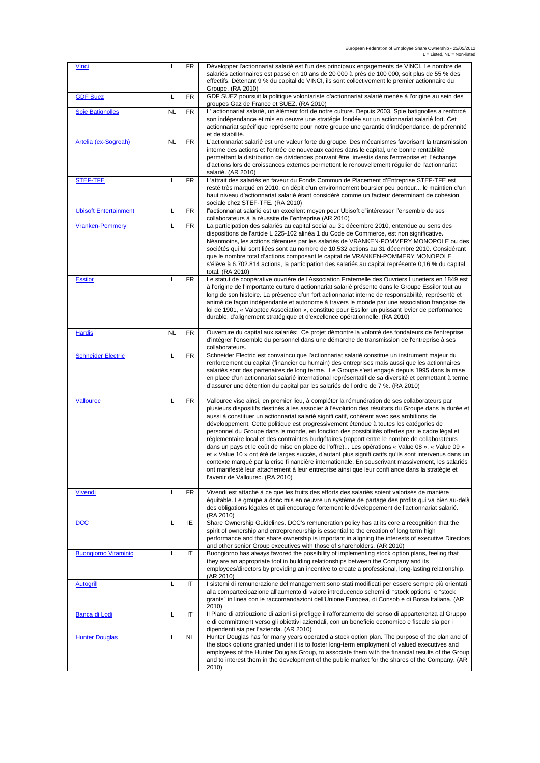| <b>Vinci</b>                 | L         | FR        | Développer l'actionnariat salarié est l'un des principaux engagements de VINCI. Le nombre de<br>salariés actionnaires est passé en 10 ans de 20 000 à près de 100 000, soit plus de 55 % des<br>effectifs. Détenant 9 % du capital de VINCI, ils sont collectivement le premier actionnaire du<br>Groupe. (RA 2010)                                                                                                                                                                                                                                                                                                                                                                                                                                                                                                                                                                                                                                                                                                                                 |
|------------------------------|-----------|-----------|-----------------------------------------------------------------------------------------------------------------------------------------------------------------------------------------------------------------------------------------------------------------------------------------------------------------------------------------------------------------------------------------------------------------------------------------------------------------------------------------------------------------------------------------------------------------------------------------------------------------------------------------------------------------------------------------------------------------------------------------------------------------------------------------------------------------------------------------------------------------------------------------------------------------------------------------------------------------------------------------------------------------------------------------------------|
| <b>GDF Suez</b>              | L         | FR        | GDF SUEZ poursuit la politique volontariste d'actionnariat salarié menée à l'origine au sein des<br>groupes Gaz de France et SUEZ. (RA 2010)                                                                                                                                                                                                                                                                                                                                                                                                                                                                                                                                                                                                                                                                                                                                                                                                                                                                                                        |
| <b>Spie Batignolles</b>      | NL        | FR        | L'actionnariat salarié, un élément fort de notre culture. Depuis 2003, Spie batignolles a renforcé<br>son indépendance et mis en oeuvre une stratégie fondée sur un actionnariat salarié fort. Cet<br>actionnariat spécifique représente pour notre groupe une garantie d'indépendance, de pérennité<br>et de stabilité.                                                                                                                                                                                                                                                                                                                                                                                                                                                                                                                                                                                                                                                                                                                            |
| Artelia (ex-Sogreah)         | <b>NL</b> | FR        | L'actionnariat salarié est une valeur forte du groupe. Des mécanismes favorisant la transmission<br>interne des actions et l'entrée de nouveaux cadres dans le capital, une bonne rentabilité<br>permettant la distribution de dividendes pouvant être investis dans l'entreprise et l'échange<br>d'actions lors de croissances externes permettent le renouvellement réqulier de l'actionnariat<br>salarié. (AR 2010)                                                                                                                                                                                                                                                                                                                                                                                                                                                                                                                                                                                                                              |
| <b>STEF-TFE</b>              | L         | FR        | L'attrait des salariés en faveur du Fonds Commun de Placement d'Entreprise STEF-TFE est<br>resté très marqué en 2010, en dépit d'un environnement boursier peu porteur le maintien d'un<br>haut niveau d'actionnariat salarié étant considéré comme un facteur déterminant de cohésion<br>sociale chez STEF-TFE. (RA 2010)                                                                                                                                                                                                                                                                                                                                                                                                                                                                                                                                                                                                                                                                                                                          |
| <b>Ubisoft Entertainment</b> | L         | FR        | l"actionnariat salarié est un excellent moyen pour Ubisoft d"intéresser l"ensemble de ses<br>collaborateurs à la réussite de l"entreprise (AR 2010)                                                                                                                                                                                                                                                                                                                                                                                                                                                                                                                                                                                                                                                                                                                                                                                                                                                                                                 |
| <b>Vranken-Pommery</b>       | L         | FR        | La participation des salariés au capital social au 31 décembre 2010, entendue au sens des<br>dispositions de l'article L 225-102 alinéa 1 du Code de Commerce, est non significative.<br>Néanmoins, les actions détenues par les salariés de VRANKEN-POMMERY MONOPOLE ou des<br>sociétés qui lui sont liées sont au nombre de 10.532 actions au 31 décembre 2010. Considérant<br>que le nombre total d'actions composant le capital de VRANKEN-POMMERY MONOPOLE<br>s'élève à 6.702.814 actions, la participation des salariés au capital représente 0,16 % du capital<br>total. (RA 2010)                                                                                                                                                                                                                                                                                                                                                                                                                                                           |
| <b>Essilor</b>               | L         | FR        | Le statut de coopérative ouvrière de l'Association Fraternelle des Ouvriers Lunetiers en 1849 est<br>à l'origine de l'importante culture d'actionnariat salarié présente dans le Groupe Essilor tout au<br>long de son histoire. La présence d'un fort actionnariat interne de responsabilité, représenté et<br>animé de façon indépendante et autonome à travers le monde par une association française de<br>loi de 1901, « Valoptec Association », constitue pour Essilor un puissant levier de performance<br>durable, d'alignement stratégique et d'excellence opérationnelle. (RA 2010)                                                                                                                                                                                                                                                                                                                                                                                                                                                       |
| <b>Hardis</b>                | <b>NL</b> | FR        | Ouverture du capital aux salariés: Ce projet démontre la volonté des fondateurs de l'entreprise<br>d'intégrer l'ensemble du personnel dans une démarche de transmission de l'entreprise à ses<br>collaborateurs.                                                                                                                                                                                                                                                                                                                                                                                                                                                                                                                                                                                                                                                                                                                                                                                                                                    |
| <b>Schneider Electric</b>    | L         | FR        | Schneider Electric est convaincu que l'actionnariat salarié constitue un instrument majeur du<br>renforcement du capital (financier ou humain) des entreprises mais aussi que les actionnaires<br>salariés sont des partenaires de long terme. Le Groupe s'est engagé depuis 1995 dans la mise<br>en place d'un actionnariat salarié international représentatif de sa diversité et permettant à terme<br>d'assurer une détention du capital par les salariés de l'ordre de 7 %. (RA 2010)                                                                                                                                                                                                                                                                                                                                                                                                                                                                                                                                                          |
| <b>Vallourec</b>             | L         | FR        | Vallourec vise ainsi, en premier lieu, à compléter la rémunération de ses collaborateurs par<br>plusieurs dispositifs destinés à les associer à l'évolution des résultats du Groupe dans la durée et<br>aussi à constituer un actionnariat salarié signifi catif, cohérent avec ses ambitions de<br>développement. Cette politique est progressivement étendue à toutes les catégories de<br>personnel du Groupe dans le monde, en fonction des possibilités offertes par le cadre légal et<br>réglementaire local et des contraintes budgétaires (rapport entre le nombre de collaborateurs<br>dans un pays et le coût de mise en place de l'offre) Les opérations « Value 08 », « Value 09 »<br>et « Value 10 » ont été de larges succès, d'autant plus signifi catifs qu'ils sont intervenus dans un<br>contexte marqué par la crise fi nancière internationale. En souscrivant massivement, les salariés<br>ont manifesté leur attachement à leur entreprise ainsi que leur confi ance dans la stratégie et<br>l'avenir de Vallourec. (RA 2010) |
| <b>Vivendi</b>               | L         | <b>FR</b> | Vivendi est attaché à ce que les fruits des efforts des salariés soient valorisés de manière<br>équitable. Le groupe a donc mis en oeuvre un système de partage des profits qui va bien au-delà<br>des obligations légales et qui encourage fortement le développement de l'actionnariat salarié.<br>(RA 2010)                                                                                                                                                                                                                                                                                                                                                                                                                                                                                                                                                                                                                                                                                                                                      |
| <b>DCC</b>                   | L         | ΙE        | Share Ownership Guidelines. DCC's remuneration policy has at its core a recognition that the<br>spirit of ownership and entrepreneurship is essential to the creation of long term high<br>performance and that share ownership is important in aligning the interests of executive Directors<br>and other senior Group executives with those of shareholders. (AR 2010)                                                                                                                                                                                                                                                                                                                                                                                                                                                                                                                                                                                                                                                                            |
| <b>Buongiorno Vitaminic</b>  | L         | IT        | Buongiorno has always favored the possibility of implementing stock option plans, feeling that<br>they are an appropriate tool in building relationships between the Company and its<br>employees/directors by providing an incentive to create a professional, long-lasting relationship.<br>(AR 2010)                                                                                                                                                                                                                                                                                                                                                                                                                                                                                                                                                                                                                                                                                                                                             |
| <b>Autogrill</b>             | L         | IT        | I sistemi di remunerazione del management sono stati modificati per essere sempre più orientati<br>alla compartecipazione all'aumento di valore introducendo schemi di "stock options" e "stock<br>grants" in linea con le raccomandazioni dell'Unione Europea, di Consob e di Borsa Italiana. (AR<br>2010)                                                                                                                                                                                                                                                                                                                                                                                                                                                                                                                                                                                                                                                                                                                                         |
| Banca di Lodi                | L         | ΙT        | Il Piano di attribuzione di azioni si prefigge il rafforzamento del senso di appartenenza al Gruppo<br>e di committment verso gli obiettivi aziendali, con un beneficio economico e fiscale sia per i<br>dipendenti sia per l'azienda. (AR 2010)                                                                                                                                                                                                                                                                                                                                                                                                                                                                                                                                                                                                                                                                                                                                                                                                    |
| <b>Hunter Douglas</b>        | L         | NL        | Hunter Douglas has for many years operated a stock option plan. The purpose of the plan and of<br>the stock options granted under it is to foster long-term employment of valued executives and<br>employees of the Hunter Douglas Group, to associate them with the financial results of the Group<br>and to interest them in the development of the public market for the shares of the Company. (AR<br>2010)                                                                                                                                                                                                                                                                                                                                                                                                                                                                                                                                                                                                                                     |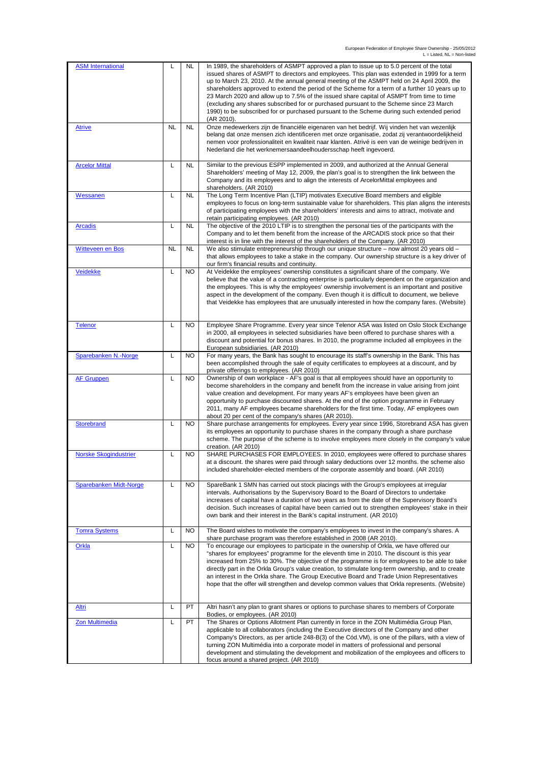| <b>ASM International</b>     | L         | In 1989, the shareholders of ASMPT approved a plan to issue up to 5.0 percent of the total<br><b>NL</b><br>issued shares of ASMPT to directors and employees. This plan was extended in 1999 for a term<br>up to March 23, 2010. At the annual general meeting of the ASMPT held on 24 April 2009, the<br>shareholders approved to extend the period of the Scheme for a term of a further 10 years up to<br>23 March 2020 and allow up to 7.5% of the issued share capital of ASMPT from time to time<br>(excluding any shares subscribed for or purchased pursuant to the Scheme since 23 March<br>1990) to be subscribed for or purchased pursuant to the Scheme during such extended period<br>(AR 2010). |
|------------------------------|-----------|---------------------------------------------------------------------------------------------------------------------------------------------------------------------------------------------------------------------------------------------------------------------------------------------------------------------------------------------------------------------------------------------------------------------------------------------------------------------------------------------------------------------------------------------------------------------------------------------------------------------------------------------------------------------------------------------------------------|
| <b>Atrive</b>                | <b>NL</b> | <b>NL</b><br>Onze medewerkers zijn de financiële eigenaren van het bedrijf. Wij vinden het van wezenlijk<br>belang dat onze mensen zich identificeren met onze organisatie, zodat zij verantwoordelijkheid<br>nemen voor professionaliteit en kwaliteit naar klanten. Atrivé is een van de weinige bedrijven in<br>Nederland die het werknemersaandeelhoudersschap heeft ingevoerd.                                                                                                                                                                                                                                                                                                                           |
| <b>Arcelor Mittal</b>        | Г         | <b>NL</b><br>Similar to the previous ESPP implemented in 2009, and authorized at the Annual General<br>Shareholders' meeting of May 12, 2009, the plan's goal is to strengthen the link between the<br>Company and its employees and to align the interests of ArcelorMittal employees and<br>shareholders. (AR 2010)                                                                                                                                                                                                                                                                                                                                                                                         |
| Wessanen                     | L         | <b>NL</b><br>The Long Term Incentive Plan (LTIP) motivates Executive Board members and eligible<br>employees to focus on long-term sustainable value for shareholders. This plan aligns the interests<br>of participating employees with the shareholders' interests and aims to attract, motivate and<br>retain participating employees. (AR 2010)                                                                                                                                                                                                                                                                                                                                                           |
| <b>Arcadis</b>               | Г         | The objective of the 2010 LTIP is to strengthen the personal ties of the participants with the<br><b>NL</b><br>Company and to let them benefit from the increase of the ARCADIS stock price so that their<br>interest is in line with the interest of the shareholders of the Company. (AR 2010)                                                                                                                                                                                                                                                                                                                                                                                                              |
| <b>Witteveen en Bos</b>      | <b>NL</b> | <b>NL</b><br>We also stimulate entrepreneurship through our unique structure - now almost 20 years old -<br>that allows employees to take a stake in the company. Our ownership structure is a key driver of<br>our firm's financial results and continuity.                                                                                                                                                                                                                                                                                                                                                                                                                                                  |
| <b>Veidekke</b>              | L         | <b>NO</b><br>At Veidekke the employees' ownership constitutes a significant share of the company. We<br>believe that the value of a contracting enterprise is particularly dependent on the organization and<br>the employees. This is why the employees' ownership involvement is an important and positive<br>aspect in the development of the company. Even though it is difficult to document, we believe<br>that Veidekke has employees that are unusually interested in how the company fares. (Website)                                                                                                                                                                                                |
| <b>Telenor</b>               | L         | Employee Share Programme. Every year since Telenor ASA was listed on Oslo Stock Exchange<br><b>NO</b><br>in 2000, all employees in selected subsidiaries have been offered to purchase shares with a<br>discount and potential for bonus shares. In 2010, the programme included all employees in the<br>European subsidiaries. (AR 2010)                                                                                                                                                                                                                                                                                                                                                                     |
| Sparebanken N.-Norge         | Г         | For many years, the Bank has sought to encourage its staff's ownership in the Bank. This has<br><b>NO</b><br>been accomplished through the sale of equity certificates to employees at a discount, and by<br>private offerings to employees. (AR 2010)                                                                                                                                                                                                                                                                                                                                                                                                                                                        |
| <b>AF Gruppen</b>            | L         | Ownership of own workplace - AF's goal is that all employees should have an opportunity to<br><b>NO</b><br>become shareholders in the company and benefit from the increase in value arising from joint<br>value creation and development. For many years AF's employees have been given an<br>opportunity to purchase discounted shares. At the end of the option programme in February<br>2011, many AF employees became shareholders for the first time. Today, AF employees own<br>about 20 per cent of the company's shares (AR 2010).                                                                                                                                                                   |
| <b>Storebrand</b>            | L         | Share purchase arrangements for employees. Every year since 1996, Storebrand ASA has given<br><b>NO</b><br>its employees an opportunity to purchase shares in the company through a share purchase<br>scheme. The purpose of the scheme is to involve employees more closely in the company's value<br>creation. (AR 2010)                                                                                                                                                                                                                                                                                                                                                                                    |
| <b>Norske Skogindustrier</b> | Г         | SHARE PURCHASES FOR EMPLOYEES. In 2010, employees were offered to purchase shares<br><b>NO</b><br>at a discount, the shares were paid through salary deductions over 12 months, the scheme also<br>included shareholder-elected members of the corporate assembly and board. (AR 2010)                                                                                                                                                                                                                                                                                                                                                                                                                        |
| Sparebanken Midt-Norge       | L         | <b>NO</b><br>SpareBank 1 SMN has carried out stock placings with the Group's employees at irregular<br>intervals. Authorisations by the Supervisory Board to the Board of Directors to undertake<br>increases of capital have a duration of two years as from the date of the Supervisory Board's<br>decision. Such increases of capital have been carried out to strengthen employees' stake in their<br>own bank and their interest in the Bank's capital instrument. (AR 2010)                                                                                                                                                                                                                             |
| <b>Tomra Systems</b>         | L         | The Board wishes to motivate the company's employees to invest in the company's shares. A<br><b>NO</b><br>share purchase program was therefore established in 2008 (AR 2010).                                                                                                                                                                                                                                                                                                                                                                                                                                                                                                                                 |
| Orkla                        | L         | To encourage our employees to participate in the ownership of Orkla, we have offered our<br><b>NO</b><br>"shares for employees" programme for the eleventh time in 2010. The discount is this year<br>increased from 25% to 30%. The objective of the programme is for employees to be able to take<br>directly part in the Orkla Group's value creation, to stimulate long-term ownership, and to create<br>an interest in the Orkla share. The Group Executive Board and Trade Union Representatives<br>hope that the offer will strengthen and develop common values that Orkla represents. (Website)                                                                                                      |
| <u>Altri</u>                 | L         | PT<br>Altri hasn't any plan to grant shares or options to purchase shares to members of Corporate<br>Bodies, or employees. (AR 2010)                                                                                                                                                                                                                                                                                                                                                                                                                                                                                                                                                                          |
| <b>Zon Multimedia</b>        | Г         | PT<br>The Shares or Options Allotment Plan currently in force in the ZON Multimédia Group Plan,<br>applicable to all collaborators (including the Executive directors of the Company and other<br>Company's Directors, as per article 248-B(3) of the Cód.VM), is one of the pillars, with a view of<br>turning ZON Multimédia into a corporate model in matters of professional and personal<br>development and stimulating the development and mobilization of the employees and officers to<br>focus around a shared project. (AR 2010)                                                                                                                                                                    |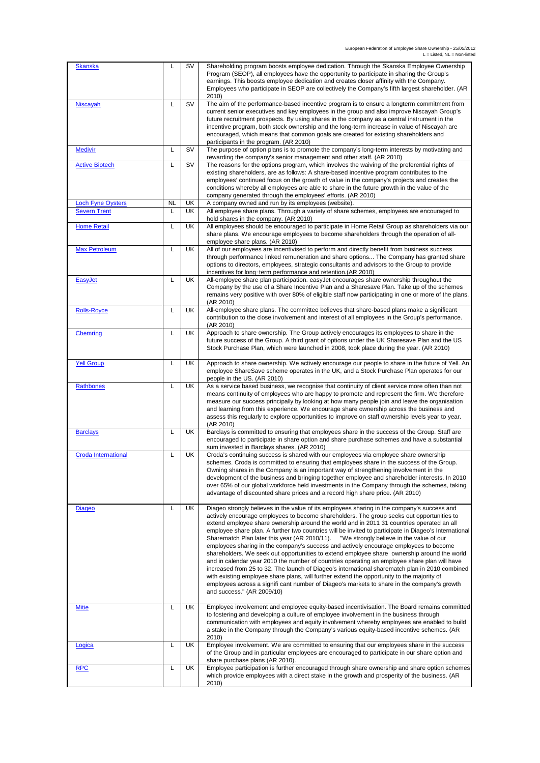| <b>Skanska</b>             | L         | <b>SV</b> | Shareholding program boosts employee dedication. Through the Skanska Employee Ownership<br>Program (SEOP), all employees have the opportunity to participate in sharing the Group's<br>earnings. This boosts employee dedication and creates closer affinity with the Company.<br>Employees who participate in SEOP are collectively the Company's fifth largest shareholder. (AR                                                                                                                                                                                                                                                                                                                                                                                                                                                                                                                                                                                                                                                                                                                                |
|----------------------------|-----------|-----------|------------------------------------------------------------------------------------------------------------------------------------------------------------------------------------------------------------------------------------------------------------------------------------------------------------------------------------------------------------------------------------------------------------------------------------------------------------------------------------------------------------------------------------------------------------------------------------------------------------------------------------------------------------------------------------------------------------------------------------------------------------------------------------------------------------------------------------------------------------------------------------------------------------------------------------------------------------------------------------------------------------------------------------------------------------------------------------------------------------------|
| Niscayah                   | L         | <b>SV</b> | 2010)<br>The aim of the performance-based incentive program is to ensure a longterm commitment from<br>current senior executives and key employees in the group and also improve Niscayah Group's<br>future recruitment prospects. By using shares in the company as a central instrument in the<br>incentive program, both stock ownership and the long-term increase in value of Niscayah are<br>encouraged, which means that common goals are created for existing shareholders and<br>participants in the program. (AR 2010)                                                                                                                                                                                                                                                                                                                                                                                                                                                                                                                                                                                 |
| <b>Medivir</b>             | L         | SV        | The purpose of option plans is to promote the company's long-term interests by motivating and<br>rewarding the company's senior management and other staff. (AR 2010)                                                                                                                                                                                                                                                                                                                                                                                                                                                                                                                                                                                                                                                                                                                                                                                                                                                                                                                                            |
| <b>Active Biotech</b>      | L         | SV        | The reasons for the options program, which involves the waiving of the preferential rights of<br>existing shareholders, are as follows: A share-based incentive program contributes to the<br>employees' continued focus on the growth of value in the company's projects and creates the<br>conditions whereby all employees are able to share in the future growth in the value of the<br>company generated through the employees' efforts. (AR 2010)                                                                                                                                                                                                                                                                                                                                                                                                                                                                                                                                                                                                                                                          |
| <b>Loch Fyne Oysters</b>   | <b>NL</b> | UK        | A company owned and run by its employees (website)                                                                                                                                                                                                                                                                                                                                                                                                                                                                                                                                                                                                                                                                                                                                                                                                                                                                                                                                                                                                                                                               |
| <b>Severn Trent</b>        | L         | UK        | All employee share plans. Through a variety of share schemes, employees are encouraged to<br>hold shares in the company. (AR 2010)                                                                                                                                                                                                                                                                                                                                                                                                                                                                                                                                                                                                                                                                                                                                                                                                                                                                                                                                                                               |
| <b>Home Retail</b>         | Г         | UK        | All employees should be encouraged to participate in Home Retail Group as shareholders via our<br>share plans. We encourage employees to become shareholders through the operation of all-<br>employee share plans. (AR 2010)                                                                                                                                                                                                                                                                                                                                                                                                                                                                                                                                                                                                                                                                                                                                                                                                                                                                                    |
| <b>Max Petroleum</b>       | L         | UK        | All of our employees are incentivised to perform and directly benefit from business success<br>through performance linked remuneration and share options The Company has granted share<br>options to directors, employees, strategic consultants and advisors to the Group to provide<br>incentives for long-term performance and retention.(AR 2010)                                                                                                                                                                                                                                                                                                                                                                                                                                                                                                                                                                                                                                                                                                                                                            |
| <b>EasyJet</b>             | L         | UK        | All-employee share plan participation. easyJet encourages share ownership throughout the<br>Company by the use of a Share Incentive Plan and a Sharesave Plan. Take up of the schemes<br>remains very positive with over 80% of eligible staff now participating in one or more of the plans.<br>(AR 2010)                                                                                                                                                                                                                                                                                                                                                                                                                                                                                                                                                                                                                                                                                                                                                                                                       |
| <b>Rolls-Royce</b>         | L         | UK        | All-employee share plans. The committee believes that share-based plans make a significant<br>contribution to the close involvement and interest of all employees in the Group's performance.<br>(AR 2010)                                                                                                                                                                                                                                                                                                                                                                                                                                                                                                                                                                                                                                                                                                                                                                                                                                                                                                       |
| Chemring                   | L         | UK        | Approach to share ownership. The Group actively encourages its employees to share in the<br>future success of the Group. A third grant of options under the UK Sharesave Plan and the US<br>Stock Purchase Plan, which were launched in 2008, took place during the year. (AR 2010)                                                                                                                                                                                                                                                                                                                                                                                                                                                                                                                                                                                                                                                                                                                                                                                                                              |
| <b>Yell Group</b>          | L         | UK        | Approach to share ownership. We actively encourage our people to share in the future of Yell. An<br>employee ShareSave scheme operates in the UK, and a Stock Purchase Plan operates for our<br>people in the US. (AR 2010)                                                                                                                                                                                                                                                                                                                                                                                                                                                                                                                                                                                                                                                                                                                                                                                                                                                                                      |
| <b>Rathbones</b>           | Г         | UK        | As a service based business, we recognise that continuity of client service more often than not<br>means continuity of employees who are happy to promote and represent the firm. We therefore<br>measure our success principally by looking at how many people join and leave the organisation<br>and learning from this experience. We encourage share ownership across the business and<br>assess this regularly to explore opportunities to improve on staff ownership levels year to year.<br>(AR 2010)                                                                                                                                                                                                                                                                                                                                                                                                                                                                                                                                                                                                     |
| <b>Barclays</b>            | Г         | UK        | Barclays is committed to ensuring that employees share in the success of the Group. Staff are<br>encouraged to participate in share option and share purchase schemes and have a substantial<br>sum invested in Barclays shares. (AR 2010)                                                                                                                                                                                                                                                                                                                                                                                                                                                                                                                                                                                                                                                                                                                                                                                                                                                                       |
| <b>Croda International</b> | L         | UK        | Croda's continuing success is shared with our employees via employee share ownership<br>schemes. Croda is committed to ensuring that employees share in the success of the Group.<br>Owning shares in the Company is an important way of strengthening involvement in the<br>development of the business and bringing together employee and shareholder interests. In 2010<br>over 65% of our global workforce held investments in the Company through the schemes, taking<br>advantage of discounted share prices and a record high share price. (AR 2010)                                                                                                                                                                                                                                                                                                                                                                                                                                                                                                                                                      |
| <b>Diageo</b>              | Г         | UK        | Diageo strongly believes in the value of its employees sharing in the company's success and<br>actively encourage employees to become shareholders. The group seeks out opportunities to<br>extend employee share ownership around the world and in 2011 31 countries operated an all<br>employee share plan. A further two countries will be invited to participate in Diageo's International<br>Sharematch Plan later this year (AR 2010/11).<br>"We strongly believe in the value of our<br>employees sharing in the company's success and actively encourage employees to become<br>shareholders. We seek out opportunities to extend employee share ownership around the world<br>and in calendar year 2010 the number of countries operating an employee share plan will have<br>increased from 25 to 32. The launch of Diageo's international sharematch plan in 2010 combined<br>with existing employee share plans, will further extend the opportunity to the majority of<br>employees across a signifi cant number of Diageo's markets to share in the company's growth<br>and success." (AR 2009/10) |
| <b>Mitie</b>               | L         | UK        | Employee involvement and employee equity-based incentivisation. The Board remains committed<br>to fostering and developing a culture of employee involvement in the business through<br>communication with employees and equity involvement whereby employees are enabled to build<br>a stake in the Company through the Company's various equity-based incentive schemes. (AR<br>2010)                                                                                                                                                                                                                                                                                                                                                                                                                                                                                                                                                                                                                                                                                                                          |
| Logica                     | L         | UK        | Employee involvement. We are committed to ensuring that our employees share in the success<br>of the Group and in particular employees are encouraged to participate in our share option and<br>share purchase plans (AR 2010).                                                                                                                                                                                                                                                                                                                                                                                                                                                                                                                                                                                                                                                                                                                                                                                                                                                                                  |
| <b>RPC</b>                 | L         | UK        | Employee participation is further encouraged through share ownership and share option schemes<br>which provide employees with a direct stake in the growth and prosperity of the business. (AR<br>2010)                                                                                                                                                                                                                                                                                                                                                                                                                                                                                                                                                                                                                                                                                                                                                                                                                                                                                                          |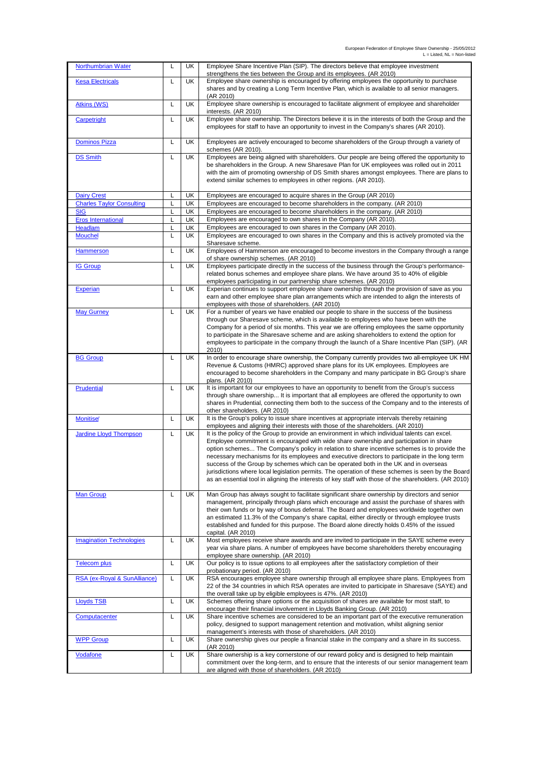| <b>Northumbrian Water</b>        | L | UK        | Employee Share Incentive Plan (SIP). The directors believe that employee investment<br>strengthens the ties between the Group and its employees. (AR 2010) |
|----------------------------------|---|-----------|------------------------------------------------------------------------------------------------------------------------------------------------------------|
| <b>Kesa Electricals</b>          | L | UK        | Employee share ownership is encouraged by offering employees the opportunity to purchase                                                                   |
|                                  |   |           | shares and by creating a Long Term Incentive Plan, which is available to all senior managers.<br>(AR 2010)                                                 |
| <b>Atkins (WS)</b>               | L | UK        | Employee share ownership is encouraged to facilitate alignment of employee and shareholder<br>interests. (AR 2010)                                         |
| Carpetright                      | L | UK        | Employee share ownership. The Directors believe it is in the interests of both the Group and the                                                           |
|                                  |   |           | employees for staff to have an opportunity to invest in the Company's shares (AR 2010).                                                                    |
| <b>Dominos Pizza</b>             | Г | UK        | Employees are actively encouraged to become shareholders of the Group through a variety of                                                                 |
| <b>DS Smith</b>                  | L | UK        | schemes (AR 2010).<br>Employees are being aligned with shareholders. Our people are being offered the opportunity to                                       |
|                                  |   |           | be shareholders in the Group. A new Sharesave Plan for UK employees was rolled out in 2011                                                                 |
|                                  |   |           | with the aim of promoting ownership of DS Smith shares amongst employees. There are plans to                                                               |
|                                  |   |           | extend similar schemes to employees in other regions. (AR 2010).                                                                                           |
| <b>Dairy Crest</b>               | L | UK        | Employees are encouraged to acquire shares in the Group (AR 2010)                                                                                          |
| <b>Charles Taylor Consulting</b> | L | UK        | Employees are encouraged to become shareholders in the company. (AR 2010)                                                                                  |
| <b>SIG</b>                       | L | UK        | Employees are encouraged to become shareholders in the company. (AR 2010)                                                                                  |
| <b>Eros International</b>        | L | <b>UK</b> | Employees are encouraged to own shares in the Company (AR 2010).                                                                                           |
| <b>Headlam</b>                   | L | UK        | Employees are encouraged to own shares in the Company (AR 2010).                                                                                           |
|                                  |   |           |                                                                                                                                                            |
| <b>Mouchel</b>                   | L | UK        | Employees are encouraged to own shares in the Company and this is actively promoted via the<br>Sharesave scheme.                                           |
| Hammerson                        | Г | UK        | Employees of Hammerson are encouraged to become investors in the Company through a range                                                                   |
|                                  |   |           | of share ownership schemes. (AR 2010)                                                                                                                      |
| <b>IG Group</b>                  | L | UK        | Employees participate directly in the success of the business through the Group's performance-                                                             |
|                                  |   |           | related bonus schemes and employee share plans. We have around 35 to 40% of eligible                                                                       |
|                                  |   |           | employees participating in our partnership share schemes. (AR 2010)                                                                                        |
| <b>Experian</b>                  | Г | UK        | Experian continues to support employee share ownership through the provision of save as you                                                                |
|                                  |   |           | earn and other employee share plan arrangements which are intended to align the interests of                                                               |
|                                  |   |           | employees with those of shareholders. (AR 2010)                                                                                                            |
| <b>May Gurney</b>                | L | UK        | For a number of years we have enabled our people to share in the success of the business                                                                   |
|                                  |   |           | through our Sharesave scheme, which is available to employees who have been with the                                                                       |
|                                  |   |           | Company for a period of six months. This year we are offering employees the same opportunity                                                               |
|                                  |   |           | to participate in the Sharesave scheme and are asking shareholders to extend the option for                                                                |
|                                  |   |           | employees to participate in the company through the launch of a Share Incentive Plan (SIP). (AR                                                            |
|                                  |   |           | 2010)                                                                                                                                                      |
| <b>BG Group</b>                  | L | UK        | In order to encourage share ownership, the Company currently provides two all-employee UK HM                                                               |
|                                  |   |           | Revenue & Customs (HMRC) approved share plans for its UK employees. Employees are                                                                          |
|                                  |   |           | encouraged to become shareholders in the Company and many participate in BG Group's share                                                                  |
|                                  |   |           | plans. (AR 2010)                                                                                                                                           |
| <b>Prudential</b>                | L | UK        | It is important for our employees to have an opportunity to benefit from the Group's success                                                               |
|                                  |   |           | through share ownership It is important that all employees are offered the opportunity to own                                                              |
|                                  |   |           | shares in Prudential, connecting them both to the success of the Company and to the interests of                                                           |
| <b>Monitise</b>                  | L | UK        | other shareholders. (AR 2010)<br>It is the Group's policy to issue share incentives at appropriate intervals thereby retaining                             |
|                                  |   |           | employees and aligning their interests with those of the shareholders. (AR 2010)                                                                           |
| <b>Jardine Lloyd Thompson</b>    | L | UK        | It is the policy of the Group to provide an environment in which individual talents can excel.                                                             |
|                                  |   |           | Employee commitment is encouraged with wide share ownership and participation in share                                                                     |
|                                  |   |           | option schemes The Company's policy in relation to share incentive schemes is to provide the                                                               |
|                                  |   |           | necessary mechanisms for its employees and executive directors to participate in the long term                                                             |
|                                  |   |           | success of the Group by schemes which can be operated both in the UK and in overseas                                                                       |
|                                  |   |           | jurisdictions where local legislation permits. The operation of these schemes is seen by the Board                                                         |
|                                  |   |           | as an essential tool in aligning the interests of key staff with those of the shareholders. (AR 2010)                                                      |
|                                  |   |           |                                                                                                                                                            |
| <b>Man Group</b>                 | L | UK        | Man Group has always sought to facilitate significant share ownership by directors and senior                                                              |
|                                  |   |           | management, principally through plans which encourage and assist the purchase of shares with                                                               |
|                                  |   |           | their own funds or by way of bonus deferral. The Board and employees worldwide together own                                                                |
|                                  |   |           | an estimated 11.3% of the Company's share capital, either directly or through employee trusts                                                              |
|                                  |   |           | established and funded for this purpose. The Board alone directly holds 0.45% of the issued                                                                |
|                                  |   |           | capital. (AR 2010)                                                                                                                                         |
| <b>Imagination Technologies</b>  | L | UK        | Most employees receive share awards and are invited to participate in the SAYE scheme every                                                                |
|                                  |   |           | year via share plans. A number of employees have become shareholders thereby encouraging                                                                   |
|                                  |   |           | employee share ownership. (AR 2010)                                                                                                                        |
| <b>Telecom plus</b>              | L | UK        | Our policy is to issue options to all employees after the satisfactory completion of their                                                                 |
| RSA (ex-Roval & SunAlliance)     | L | UK        | probationary period. (AR 2010)<br>RSA encourages employee share ownership through all employee share plans. Employees from                                 |
|                                  |   |           | 22 of the 34 countries in which RSA operates are invited to participate in Sharesave (SAYE) and                                                            |
|                                  |   |           | the overall take up by eligible employees is 47%. (AR 2010)                                                                                                |
| <b>Lloyds TSB</b>                | L | UK        | Schemes offering share options or the acquisition of shares are available for most staff, to                                                               |
|                                  |   |           | encourage their financial involvement in Lloyds Banking Group. (AR 2010)                                                                                   |
| Computacenter                    | L | UK        | Share incentive schemes are considered to be an important part of the executive remuneration                                                               |
|                                  |   |           | policy, designed to support management retention and motivation, whilst aligning senior                                                                    |
|                                  |   |           | management's interests with those of shareholders. (AR 2010)                                                                                               |
| <b>WPP Group</b>                 | L | UK        | Share ownership gives our people a financial stake in the company and a share in its success.                                                              |
| Vodafone                         | Г | UK        | (AR 2010)<br>Share ownership is a key cornerstone of our reward policy and is designed to help maintain                                                    |
|                                  |   |           | commitment over the long-term, and to ensure that the interests of our senior management team                                                              |
|                                  |   |           | are aligned with those of shareholders. (AR 2010)                                                                                                          |
|                                  |   |           |                                                                                                                                                            |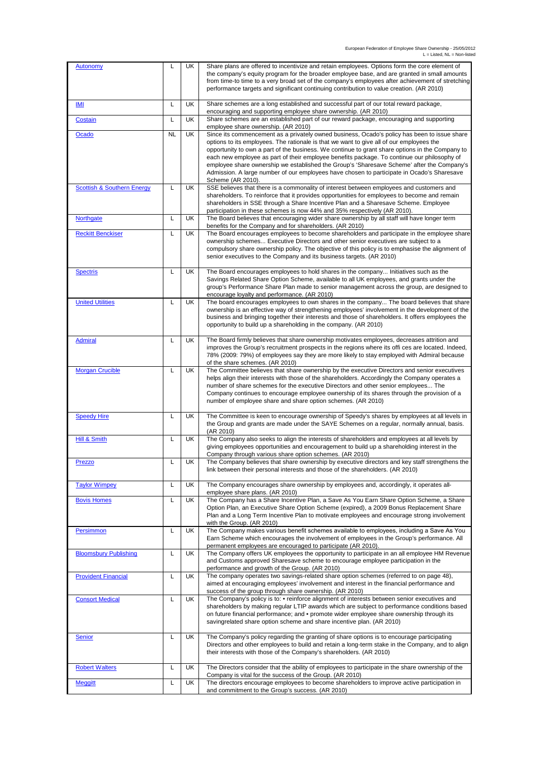| <b>Autonomy</b>                       | L  | UK        | Share plans are offered to incentivize and retain employees. Options form the core element of<br>the company's equity program for the broader employee base, and are granted in small amounts<br>from time-to time to a very broad set of the company's employees after achievement of stretching<br>performance targets and significant continuing contribution to value creation. (AR 2010)                                                                                                               |
|---------------------------------------|----|-----------|-------------------------------------------------------------------------------------------------------------------------------------------------------------------------------------------------------------------------------------------------------------------------------------------------------------------------------------------------------------------------------------------------------------------------------------------------------------------------------------------------------------|
| IMI                                   | L  | UK        | Share schemes are a long established and successful part of our total reward package,<br>encouraging and supporting employee share ownership. (AR 2010)                                                                                                                                                                                                                                                                                                                                                     |
| Costain                               | L  | <b>UK</b> | Share schemes are an established part of our reward package, encouraging and supporting                                                                                                                                                                                                                                                                                                                                                                                                                     |
| Ocado                                 | NL | UK        | employee share ownership. (AR 2010)<br>Since its commencement as a privately owned business, Ocado's policy has been to issue share                                                                                                                                                                                                                                                                                                                                                                         |
|                                       |    |           | options to its employees. The rationale is that we want to give all of our employees the<br>opportunity to own a part of the business. We continue to grant share options in the Company to<br>each new employee as part of their employee benefits package. To continue our philosophy of<br>employee share ownership we established the Group's 'Sharesave Scheme' after the Company's<br>Admission. A large number of our employees have chosen to participate in Ocado's Sharesave<br>Scheme (AR 2010). |
| <b>Scottish &amp; Southern Energy</b> | L  | UK        | SSE believes that there is a commonality of interest between employees and customers and<br>shareholders. To reinforce that it provides opportunities for employees to become and remain<br>shareholders in SSE through a Share Incentive Plan and a Sharesave Scheme. Employee<br>participation in these schemes is now 44% and 35% respectively (AR 2010).                                                                                                                                                |
| Northgate                             | L  | UK        | The Board believes that encouraging wider share ownership by all staff will have longer term<br>benefits for the Company and for shareholders. (AR 2010)                                                                                                                                                                                                                                                                                                                                                    |
| <b>Reckitt Benckiser</b>              | L  | UK        | The Board encourages employees to become shareholders and participate in the employee share                                                                                                                                                                                                                                                                                                                                                                                                                 |
|                                       |    |           | ownership schemes Executive Directors and other senior executives are subject to a<br>compulsory share ownership policy. The objective of this policy is to emphasise the alignment of<br>senior executives to the Company and its business targets. (AR 2010)                                                                                                                                                                                                                                              |
| <b>Spectris</b>                       | L  | UK        | The Board encourages employees to hold shares in the company Initiatives such as the<br>Savings Related Share Option Scheme, available to all UK employees, and grants under the<br>group's Performance Share Plan made to senior management across the group, are designed to                                                                                                                                                                                                                              |
|                                       |    |           | encourage loyalty and performance. (AR 2010)                                                                                                                                                                                                                                                                                                                                                                                                                                                                |
| <b>United Utilities</b>               | L  | UK        | The board encourages employees to own shares in the company The board believes that share<br>ownership is an effective way of strengthening employees' involvement in the development of the                                                                                                                                                                                                                                                                                                                |
|                                       |    |           | business and bringing together their interests and those of shareholders. It offers employees the<br>opportunity to build up a shareholding in the company. (AR 2010)                                                                                                                                                                                                                                                                                                                                       |
| <b>Admiral</b>                        | L  | UK        | The Board firmly believes that share ownership motivates employees, decreases attrition and<br>improves the Group's recruitment prospects in the regions where its offi ces are located. Indeed,                                                                                                                                                                                                                                                                                                            |
|                                       |    |           | 78% (2009: 79%) of employees say they are more likely to stay employed with Admiral because<br>of the share schemes. (AR 2010)                                                                                                                                                                                                                                                                                                                                                                              |
| <b>Morgan Crucible</b>                | L  | UK        | The Committee believes that share ownership by the executive Directors and senior executives                                                                                                                                                                                                                                                                                                                                                                                                                |
|                                       |    |           | helps align their interests with those of the shareholders. Accordingly the Company operates a<br>number of share schemes for the executive Directors and other senior employees The<br>Company continues to encourage employee ownership of its shares through the provision of a<br>number of employee share and share option schemes. (AR 2010)                                                                                                                                                          |
| <b>Speedy Hire</b>                    | L  | UK        | The Committee is keen to encourage ownership of Speedy's shares by employees at all levels in<br>the Group and grants are made under the SAYE Schemes on a regular, normally annual, basis.<br>(AR 2010)                                                                                                                                                                                                                                                                                                    |
| <b>Hill &amp; Smith</b>               | Г  | UK        | The Company also seeks to align the interests of shareholders and employees at all levels by<br>giving employees opportunities and encouragement to build up a shareholding interest in the<br>Company through various share option schemes. (AR 2010)                                                                                                                                                                                                                                                      |
| Prezzo                                | L  | UK        | The Company believes that share ownership by executive directors and key staff strengthens the<br>link between their personal interests and those of the shareholders. (AR 2010)                                                                                                                                                                                                                                                                                                                            |
| <b>Taylor Wimpey</b>                  | Г  | UK        | The Company encourages share ownership by employees and, accordingly, it operates all-<br>employee share plans. (AR 2010)                                                                                                                                                                                                                                                                                                                                                                                   |
| <b>Bovis Homes</b>                    | L  | UK        | The Company has a Share Incentive Plan, a Save As You Earn Share Option Scheme, a Share<br>Option Plan, an Executive Share Option Scheme (expired), a 2009 Bonus Replacement Share<br>Plan and a Long Term Incentive Plan to motivate employees and encourage strong involvement<br>with the Group. (AR 2010)                                                                                                                                                                                               |
| Persimmon                             | L  | UK        | The Company makes various benefit schemes available to employees, including a Save As You<br>Earn Scheme which encourages the involvement of employees in the Group's performance. All<br>permanent employees are encouraged to participate (AR 2010).                                                                                                                                                                                                                                                      |
| <b>Bloomsbury Publishing</b>          | Г  | UK        | The Company offers UK employees the opportunity to participate in an all employee HM Revenue<br>and Customs approved Sharesave scheme to encourage employee participation in the<br>performance and growth of the Group. (AR 2010)                                                                                                                                                                                                                                                                          |
| <b>Provident Financial</b>            | Г  | UK        | The company operates two savings-related share option schemes (referred to on page 48),<br>aimed at encouraging employees' involvement and interest in the financial performance and<br>success of the group through share ownership. (AR 2010)                                                                                                                                                                                                                                                             |
| <b>Consort Medical</b>                | Г  | UK        | The Company's policy is to: • reinforce alignment of interests between senior executives and<br>shareholders by making regular LTIP awards which are subject to performance conditions based<br>on future financial performance; and • promote wider employee share ownership through its<br>savingrelated share option scheme and share incentive plan. (AR 2010)                                                                                                                                          |
| <b>Senior</b>                         | Г  | UK        | The Company's policy regarding the granting of share options is to encourage participating<br>Directors and other employees to build and retain a long-term stake in the Company, and to align<br>their interests with those of the Company's shareholders. (AR 2010)                                                                                                                                                                                                                                       |
| <b>Robert Walters</b>                 | Г  | UK        | The Directors consider that the ability of employees to participate in the share ownership of the<br>Company is vital for the success of the Group. (AR 2010)                                                                                                                                                                                                                                                                                                                                               |
| <b>Meggitt</b>                        | L  | UK        | The directors encourage employees to become shareholders to improve active participation in<br>and commitment to the Group's success. (AR 2010)                                                                                                                                                                                                                                                                                                                                                             |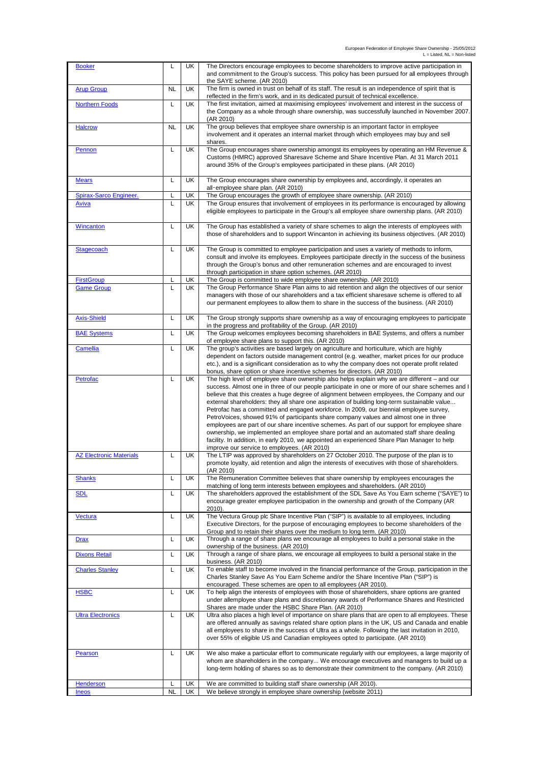| <b>Booker</b>                          | L         | UK        | The Directors encourage employees to become shareholders to improve active participation in<br>and commitment to the Group's success. This policy has been pursued for all employees through                                                                                           |
|----------------------------------------|-----------|-----------|----------------------------------------------------------------------------------------------------------------------------------------------------------------------------------------------------------------------------------------------------------------------------------------|
| <b>Arup Group</b>                      | <b>NL</b> | UK        | the SAYE scheme. (AR 2010)<br>The firm is owned in trust on behalf of its staff. The result is an independence of spirit that is<br>reflected in the firm's work, and in its dedicated pursuit of technical excellence.                                                                |
| <b>Northern Foods</b>                  | L         | UK        | The first invitation, aimed at maximising employees' involvement and interest in the success of<br>the Company as a whole through share ownership, was successfully launched in November 2007.                                                                                         |
| <b>Halcrow</b>                         | <b>NL</b> | UK        | (AR 2010)<br>The group believes that employee share ownership is an important factor in employee<br>involvement and it operates an internal market through which employees may buy and sell                                                                                            |
|                                        |           |           | shares.                                                                                                                                                                                                                                                                                |
| Pennon                                 | L         | UK        | The Group encourages share ownership amongst its employees by operating an HM Revenue &<br>Customs (HMRC) approved Sharesave Scheme and Share Incentive Plan. At 31 March 2011<br>around 35% of the Group's employees participated in these plans. (AR 2010)                           |
| <b>Mears</b>                           | L         | UK        | The Group encourages share ownership by employees and, accordingly, it operates an<br>all-employee share plan. (AR 2010)                                                                                                                                                               |
| <b>Spirax-Sarco Engineer.</b><br>Aviva | L<br>L    | UK<br>UK  | The Group encourages the growth of employee share ownership. (AR 2010)<br>The Group ensures that involvement of employees in its performance is encouraged by allowing                                                                                                                 |
|                                        |           |           | eligible employees to participate in the Group's all employee share ownership plans. (AR 2010)                                                                                                                                                                                         |
| <b>Wincanton</b>                       | L         | UK        | The Group has established a variety of share schemes to align the interests of employees with<br>those of shareholders and to support Wincanton in achieving its business objectives. (AR 2010)                                                                                        |
| Stagecoach                             | L         | <b>UK</b> | The Group is committed to employee participation and uses a variety of methods to inform,<br>consult and involve its employees. Employees participate directly in the success of the business<br>through the Group's bonus and other remuneration schemes and are encouraged to invest |
| <b>FirstGroup</b>                      | L         | UK        | through participation in share option schemes. (AR 2010)<br>The Group is committed to wide employee share ownership. (AR 2010)                                                                                                                                                         |
| <b>Game Group</b>                      | L         | UK        | The Group Performance Share Plan aims to aid retention and align the objectives of our senior                                                                                                                                                                                          |
|                                        |           |           | managers with those of our shareholders and a tax efficient sharesave scheme is offered to all<br>our permanent employees to allow them to share in the success of the business. (AR 2010)                                                                                             |
| <b>Axis-Shield</b>                     | Г         | UK        | The Group strongly supports share ownership as a way of encouraging employees to participate<br>in the progress and profitability of the Group. (AR 2010)                                                                                                                              |
| <b>BAE Systems</b>                     | L         | <b>UK</b> | The Group welcomes employees becoming shareholders in BAE Systems, and offers a number<br>of employee share plans to support this. (AR 2010)                                                                                                                                           |
| Camellia                               | L         | UK        | The group's activities are based largely on agriculture and horticulture, which are highly                                                                                                                                                                                             |
|                                        |           |           | dependent on factors outside management control (e.g. weather, market prices for our produce<br>etc.), and is a significant consideration as to why the company does not operate profit related                                                                                        |
|                                        |           |           | bonus, share option or share incentive schemes for directors. (AR 2010)                                                                                                                                                                                                                |
| Petrofac                               | L         | UK        | The high level of employee share ownership also helps explain why we are different – and our<br>success. Almost one in three of our people participate in one or more of our share schemes and I                                                                                       |
|                                        |           |           | believe that this creates a huge degree of alignment between employees, the Company and our                                                                                                                                                                                            |
|                                        |           |           | external shareholders: they all share one aspiration of building long-term sustainable value                                                                                                                                                                                           |
|                                        |           |           | Petrofac has a committed and engaged workforce. In 2009, our biennial employee survey,<br>PetroVoices, showed 91% of participants share company values and almost one in three                                                                                                         |
|                                        |           |           | employees are part of our share incentive schemes. As part of our support for employee share                                                                                                                                                                                           |
|                                        |           |           | ownership, we implemented an employee share portal and an automated staff share dealing<br>facility. In addition, in early 2010, we appointed an experienced Share Plan Manager to help                                                                                                |
|                                        |           |           | improve our service to employees. (AR 2010)                                                                                                                                                                                                                                            |
| <b>AZ Electronic Materials</b>         | L         | UK        | The LTIP was approved by shareholders on 27 October 2010. The purpose of the plan is to                                                                                                                                                                                                |
|                                        |           |           | promote loyalty, aid retention and align the interests of executives with those of shareholders.<br>(AR 2010)                                                                                                                                                                          |
| <b>Shanks</b>                          | L         | UK        | The Remuneration Committee believes that share ownership by employees encourages the<br>matching of long term interests between employees and shareholders. (AR 2010)                                                                                                                  |
| <b>SDL</b>                             | L         | UK        | The shareholders approved the establishment of the SDL Save As You Earn scheme ("SAYE") to                                                                                                                                                                                             |
|                                        |           |           | encourage greater employee participation in the ownership and growth of the Company (AR<br>$2010$ ).                                                                                                                                                                                   |
| Vectura                                | L         | UK        | The Vectura Group plc Share Incentive Plan ("SIP") is available to all employees, including<br>Executive Directors, for the purpose of encouraging employees to become shareholders of the                                                                                             |
| <b>Drax</b>                            | L         | UK        | Group and to retain their shares over the medium to long term. (AR 2010)<br>Through a range of share plans we encourage all employees to build a personal stake in the<br>ownership of the business. (AR 2010)                                                                         |
| <b>Dixons Retail</b>                   | Г         | UK        | Through a range of share plans, we encourage all employees to build a personal stake in the                                                                                                                                                                                            |
| <b>Charles Stanley</b>                 | L         | UK        | business. (AR 2010)<br>To enable staff to become involved in the financial performance of the Group, participation in the                                                                                                                                                              |
|                                        |           |           | Charles Stanley Save As You Earn Scheme and/or the Share Incentive Plan ("SIP") is<br>encouraged. These schemes are open to all employees (AR 2010).                                                                                                                                   |
| <b>HSBC</b>                            | L         | UK        | To help align the interests of employees with those of shareholders, share options are granted<br>under allemployee share plans and discretionary awards of Performance Shares and Restricted                                                                                          |
| <b>Ultra Electronics</b>               | L         | UK        | Shares are made under the HSBC Share Plan. (AR 2010)<br>Ultra also places a high level of importance on share plans that are open to all employees. These                                                                                                                              |
|                                        |           |           | are offered annually as savings related share option plans in the UK, US and Canada and enable                                                                                                                                                                                         |
|                                        |           |           | all employees to share in the success of Ultra as a whole. Following the last invitation in 2010,<br>over 55% of eligible US and Canadian employees opted to participate. (AR 2010)                                                                                                    |
| Pearson                                | L         | UK        | We also make a particular effort to communicate regularly with our employees, a large majority of                                                                                                                                                                                      |
|                                        |           |           | whom are shareholders in the company We encourage executives and managers to build up a<br>long-term holding of shares so as to demonstrate their commitment to the company. (AR 2010)                                                                                                 |
|                                        |           | UK        |                                                                                                                                                                                                                                                                                        |
| <b>Henderson</b><br><b>Ineos</b>       | <b>NL</b> | UK        | We are committed to building staff share ownership (AR 2010).<br>We believe strongly in employee share ownership (website 2011)                                                                                                                                                        |